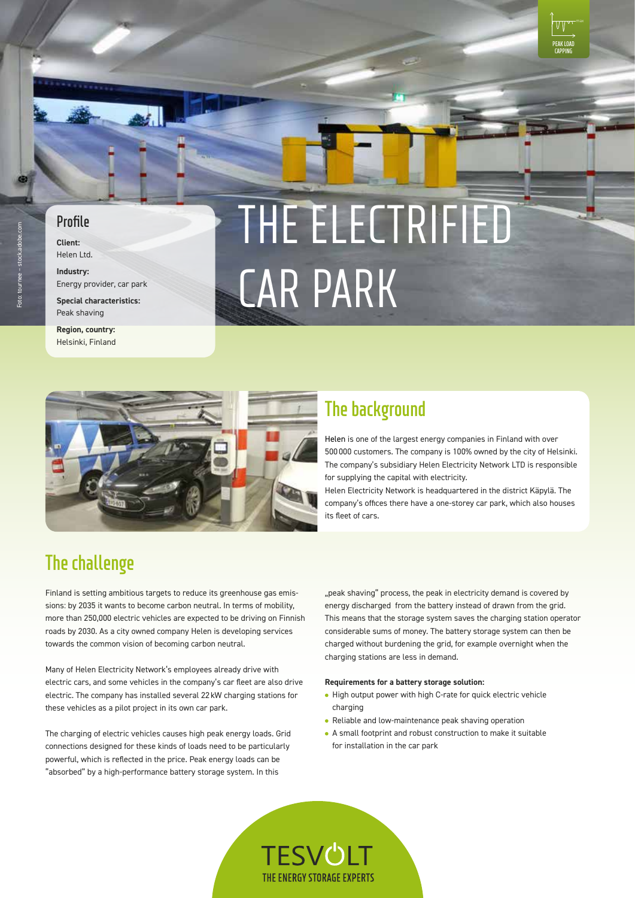## **Profile**

**Client:** Helen Ltd.

**Industry:** Energy provider, car park

**Special characteristics:** Peak shaving

**Region, country:** Helsinki, Finland

# THE ELECTRIFIED CAR PARK



# **The background**

Helen is one of the largest energy companies in Finland with over 500000 customers. The company is 100% owned by the city of Helsinki. The company's subsidiary Helen Electricity Network LTD is responsible for supplying the capital with electricity.

**PEAK LOAD CAPPING**

Helen Electricity Network is headquartered in the district Käpylä. The company's offices there have a one-storey car park, which also houses its fleet of cars.

# **The challenge**

Finland is setting ambitious targets to reduce its greenhouse gas emissions: by 2035 it wants to become carbon neutral. In terms of mobility, more than 250,000 electric vehicles are expected to be driving on Finnish roads by 2030. As a city owned company Helen is developing services towards the common vision of becoming carbon neutral.

Many of Helen Electricity Network's employees already drive with electric cars, and some vehicles in the company's car fleet are also drive electric. The company has installed several 22 kW charging stations for these vehicles as a pilot project in its own car park.

The charging of electric vehicles causes high peak energy loads. Grid connections designed for these kinds of loads need to be particularly powerful, which is reflected in the price. Peak energy loads can be "absorbed" by a high-performance battery storage system. In this

"peak shaving" process, the peak in electricity demand is covered by energy discharged from the battery instead of drawn from the grid. This means that the storage system saves the charging station operator considerable sums of money. The battery storage system can then be charged without burdening the grid, for example overnight when the charging stations are less in demand.

#### **Requirements for a battery storage solution:**

- High output power with high C-rate for quick electric vehicle charging
- Reliable and low-maintenance peak shaving operation
- A small footprint and robust construction to make it suitable for installation in the car park